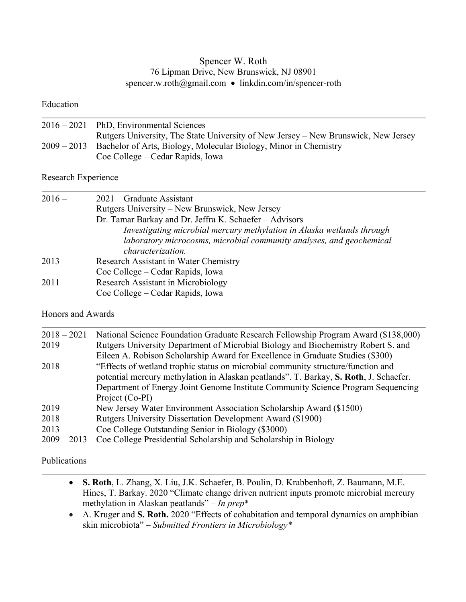# Spencer W. Roth 76 Lipman Drive, New Brunswick, NJ 08901 spencer.w.roth@gmail.com • linkdin.com/in/spencer-roth

#### Education

| $2016 - 2021$ PhD, Environmental Sciences                                          |
|------------------------------------------------------------------------------------|
| Rutgers University, The State University of New Jersey – New Brunswick, New Jersey |
| 2009 – 2013 Bachelor of Arts, Biology, Molecular Biology, Minor in Chemistry       |
| Coe College – Cedar Rapids, Iowa                                                   |

# Research Experience

| $2016-$ | <b>Graduate Assistant</b><br>2021                                      |
|---------|------------------------------------------------------------------------|
|         | Rutgers University – New Brunswick, New Jersey                         |
|         | Dr. Tamar Barkay and Dr. Jeffra K. Schaefer - Advisors                 |
|         | Investigating microbial mercury methylation in Alaska wetlands through |
|         | laboratory microcosms, microbial community analyses, and geochemical   |
|         | <i>characterization.</i>                                               |
| 2013    | Research Assistant in Water Chemistry                                  |
|         | Coe College – Cedar Rapids, Iowa                                       |
| 2011    | Research Assistant in Microbiology                                     |
|         | Coe College – Cedar Rapids, Iowa                                       |

## Honors and Awards

| $2018 - 2021$ | National Science Foundation Graduate Research Fellowship Program Award (\$138,000)    |
|---------------|---------------------------------------------------------------------------------------|
| 2019          | Rutgers University Department of Microbial Biology and Biochemistry Robert S. and     |
|               | Eileen A. Robison Scholarship Award for Excellence in Graduate Studies (\$300)        |
| 2018          | "Effects of wetland trophic status on microbial community structure/function and      |
|               | potential mercury methylation in Alaskan peatlands". T. Barkay, S. Roth, J. Schaefer. |
|               | Department of Energy Joint Genome Institute Community Science Program Sequencing      |
|               | Project (Co-PI)                                                                       |
| 2019          | New Jersey Water Environment Association Scholarship Award (\$1500)                   |
| 2018          | Rutgers University Dissertation Development Award (\$1900)                            |
| 2013          | Coe College Outstanding Senior in Biology (\$3000)                                    |
| $2009 - 2013$ | Coe College Presidential Scholarship and Scholarship in Biology                       |
|               |                                                                                       |

### Publications

- **S. Roth**, L. Zhang, X. Liu, J.K. Schaefer, B. Poulin, D. Krabbenhoft, Z. Baumann, M.E. Hines, T. Barkay. 2020 "Climate change driven nutrient inputs promote microbial mercury methylation in Alaskan peatlands" – *In prep*\*
- A. Kruger and **S. Roth.** 2020 "Effects of cohabitation and temporal dynamics on amphibian skin microbiota" – *Submitted Frontiers in Microbiology\**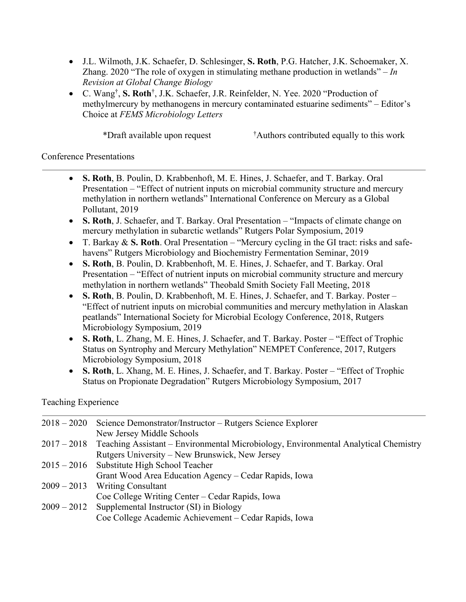- J.L. Wilmoth, J.K. Schaefer, D. Schlesinger, **S. Roth**, P.G. Hatcher, J.K. Schoemaker, X. Zhang. 2020 "The role of oxygen in stimulating methane production in wetlands" – *In Revision at Global Change Biology*
- C. Wang† , **S. Roth**† , J.K. Schaefer, J.R. Reinfelder, N. Yee. 2020 "Production of methylmercury by methanogens in mercury contaminated estuarine sediments" – Editor's Choice at *FEMS Microbiology Letters*

\*Draft available upon request †

Authors contributed equally to this work

### Conference Presentations

- **S. Roth**, B. Poulin, D. Krabbenhoft, M. E. Hines, J. Schaefer, and T. Barkay. Oral Presentation – "Effect of nutrient inputs on microbial community structure and mercury methylation in northern wetlands" International Conference on Mercury as a Global Pollutant, 2019
- **S. Roth**, J. Schaefer, and T. Barkay. Oral Presentation "Impacts of climate change on mercury methylation in subarctic wetlands" Rutgers Polar Symposium, 2019
- T. Barkay & **S. Roth**. Oral Presentation "Mercury cycling in the GI tract: risks and safehavens" Rutgers Microbiology and Biochemistry Fermentation Seminar, 2019
- **S. Roth**, B. Poulin, D. Krabbenhoft, M. E. Hines, J. Schaefer, and T. Barkay. Oral Presentation – "Effect of nutrient inputs on microbial community structure and mercury methylation in northern wetlands" Theobald Smith Society Fall Meeting, 2018
- **S. Roth**, B. Poulin, D. Krabbenhoft, M. E. Hines, J. Schaefer, and T. Barkay. Poster "Effect of nutrient inputs on microbial communities and mercury methylation in Alaskan peatlands" International Society for Microbial Ecology Conference, 2018, Rutgers Microbiology Symposium, 2019
- **S. Roth**, L. Zhang, M. E. Hines, J. Schaefer, and T. Barkay. Poster "Effect of Trophic Status on Syntrophy and Mercury Methylation" NEMPET Conference, 2017, Rutgers Microbiology Symposium, 2018
- **S. Roth**, L. Xhang, M. E. Hines, J. Schaefer, and T. Barkay. Poster "Effect of Trophic Status on Propionate Degradation" Rutgers Microbiology Symposium, 2017

Teaching Experience

| $2018 - 2020$ | Science Demonstrator/Instructor – Rutgers Science Explorer                                      |
|---------------|-------------------------------------------------------------------------------------------------|
|               | New Jersey Middle Schools                                                                       |
|               | 2017 – 2018 Teaching Assistant – Environmental Microbiology, Environmental Analytical Chemistry |
|               | Rutgers University – New Brunswick, New Jersey                                                  |
| $2015 - 2016$ | Substitute High School Teacher                                                                  |
|               | Grant Wood Area Education Agency – Cedar Rapids, Iowa                                           |
|               | $2009 - 2013$ Writing Consultant                                                                |
|               | Coe College Writing Center – Cedar Rapids, Iowa                                                 |
| $2009 - 2012$ | Supplemental Instructor (SI) in Biology                                                         |
|               | Coe College Academic Achievement – Cedar Rapids, Iowa                                           |
|               |                                                                                                 |